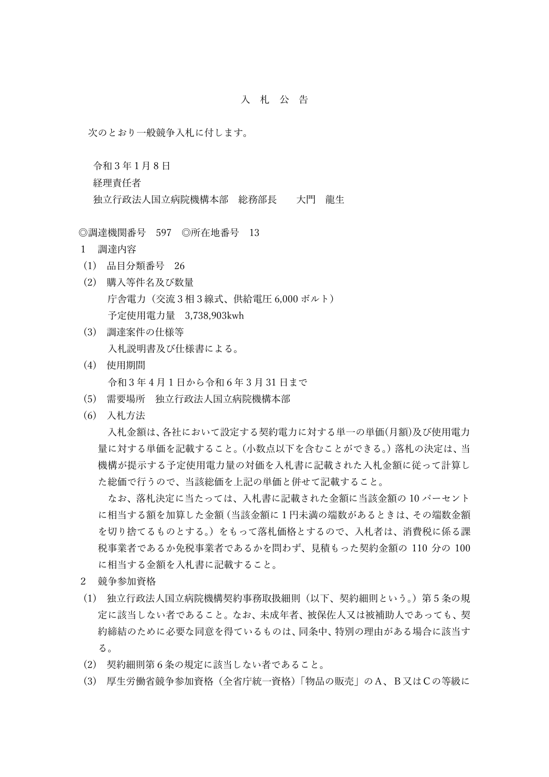## 入 札 公 告

次のとおり一般競争入札に付します。

令和3年1月 8 日 経理責任者 独立行政法人国立病院機構本部 総務部長 大門 龍生

◎調達機関番号 597 ◎所在地番号 13

- 1 調達内容
- (1) 品目分類番号 26
- (2) 購入等件名及び数量 庁舎電力(交流3相3線式、供給電圧 6,000 ボルト) 予定使用電力量 3,738,903kwh
- (3) 調達案件の仕様等 入札説明書及び仕様書による。
- (4) 使用期間 令和3年 4 月 1 日から令和6年 3 月 31 日まで
- (5) 需要場所 独立行政法人国立病院機構本部
- (6) 入札方法

入札金額は、各社において設定する契約電力に対する単一の単価(月額)及び使用電力 量に対する単価を記載すること。(小数点以下を含むことができる。)落札の決定は、当 機構が提示する予定使用電力量の対価を入札書に記載された入札金額に従って計算し た総価で行うので、当該総価を上記の単価と併せて記載すること。

 なお、落札決定に当たっては、入札書に記載された金額に当該金額の 10 パーセント に相当する額を加算した金額(当該金額に1円未満の端数があるときは、その端数金額 を切り捨てるものとする。)をもって落札価格とするので、入札者は、消費税に係る課 税事業者であるか免税事業者であるかを問わず、見積もった契約金額の 110 分の 100 に相当する金額を入札書に記載すること。

- 2 競争参加資格
- (1) 独立行政法人国立病院機構契約事務取扱細則(以下、契約細則という。)第5条の規 定に該当しない者であること。なお、未成年者、被保佐人又は被補助人であっても、契 約締結のために必要な同意を得ているものは、同条中、特別の理由がある場合に該当す る。
- (2) 契約細則第6条の規定に該当しない者であること。
- (3) 厚生労働省競争参加資格(全省庁統一資格)「物品の販売」のA、B又はCの等級に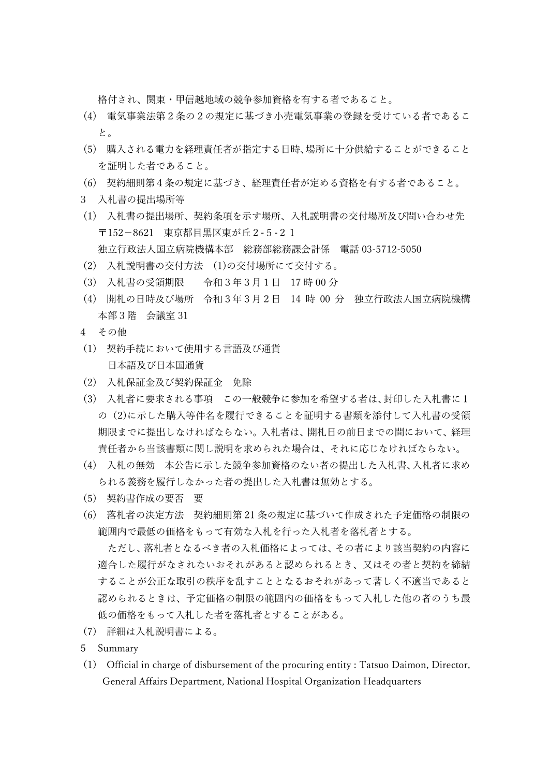格付され、関東・甲信越地域の競争参加資格を有する者であること。

- (4) 電気事業法第2条の2の規定に基づき小売電気事業の登録を受けている者であるこ と。
- (5) 購入される電力を経理責任者が指定する日時、場所に十分供給することができること を証明した者であること。
- (6) 契約細則第4条の規定に基づき、経理責任者が定める資格を有する者であること。
- 3 入札書の提出場所等
- (1) 入札書の提出場所、契約条項を示す場所、入札説明書の交付場所及び問い合わせ先 〒152-8621 東京都目黒区東が丘2-5-21 独立行政法人国立病院機構本部 総務部総務課会計係 電話 03-5712-5050
- (2) 入札説明書の交付方法 (1)の交付場所にて交付する。
- (3) 入札書の受領期限 令和3年3月1日 17 時 00 分
- (4) 開札の日時及び場所 令和3年3月2日 14 時 00 分 独立行政法人国立病院機構 本部3階 会議室 31
- 4 その他
- (1) 契約手続において使用する言語及び通貨 日本語及び日本国通貨
- (2) 入札保証金及び契約保証金 免除
- (3) 入札者に要求される事項 この一般競争に参加を希望する者は、封印した入札書に1 の(2)に示した購入等件名を履行できることを証明する書類を添付して入札書の受領 期限までに提出しなければならない。入札者は、開札日の前日までの間において、経理 責任者から当該書類に関し説明を求められた場合は、それに応じなければならない。
- (4) 入札の無効 本公告に示した競争参加資格のない者の提出した入札書、入札者に求め られる義務を履行しなかった者の提出した入札書は無効とする。
- (5) 契約書作成の要否 要
- (6) 落札者の決定方法 契約細則第 21 条の規定に基づいて作成された予定価格の制限の 範囲内で最低の価格をもって有効な入札を行った入札者を落札者とする。

 ただし、落札者となるべき者の入札価格によっては、その者により該当契約の内容に 適合した履行がなされないおそれがあると認められるとき、又はその者と契約を締結 することが公正な取引の秩序を乱すこととなるおそれがあって著しく不適当であると 認められるときは、予定価格の制限の範囲内の価格をもって入札した他の者のうち最 低の価格をもって入札した者を落札者とすることがある。

- (7) 詳細は入札説明書による。
- 5 Summary
- (1) Official in charge of disbursement of the procuring entity : Tatsuo Daimon, Director, General Affairs Department, National Hospital Organization Headquarters